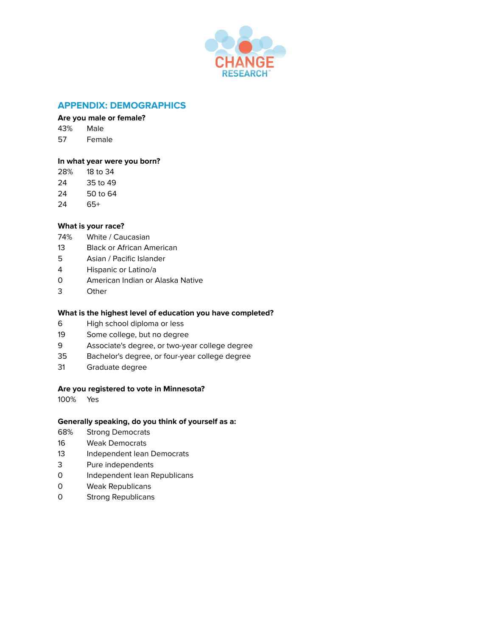

## **APPENDIX: DEMOGRAPHICS**

#### **Are you male or female?**

- 43% Male
- 57 Female

#### **In what year were you born?**

- 28% 18 to 34
- 24 35 to 49
- 24 50 to 64
- 24 65+

#### **What is your race?**

- 74% White / Caucasian
- 13 Black or African American
- 5 Asian / Pacific Islander
- 4 Hispanic or Latino/a
- 0 American Indian or Alaska Native
- 3 Other

#### **What is the highest level of education you have completed?**

- 6 High school diploma or less
- 19 Some college, but no degree
- 9 Associate's degree, or two-year college degree
- 35 Bachelor's degree, or four-year college degree
- 31 Graduate degree

#### **Are you registered to vote in Minnesota?**

100% Yes

#### **Generally speaking, do you think of yourself as a:**

- 68% Strong Democrats
- 16 Weak Democrats
- 13 Independent lean Democrats
- 3 Pure independents
- 0 Independent lean Republicans
- 0 Weak Republicans
- 0 Strong Republicans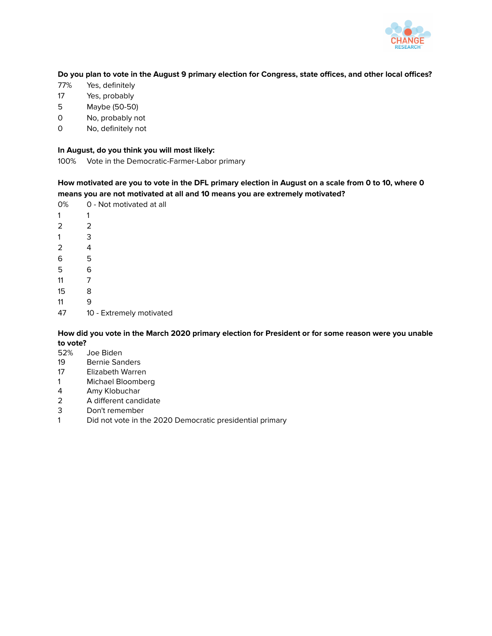

#### Do you plan to vote in the August 9 primary election for Congress, state offices, and other local offices?

- 77% Yes, definitely
- Yes, probably
- Maybe (50-50)
- No, probably not
- No, definitely not

#### **In August, do you think you will most likely:**

100% Vote in the Democratic-Farmer-Labor primary

## How motivated are you to vote in the DFL primary election in August on a scale from 0 to 10, where 0 **means you are not motivated at all and 10 means you are extremely motivated?**

- 0% 0 Not motivated at all 1
- 2
- 3
- 4
- 5
- 6
- 
- 7
- 8
- 9
- 10 Extremely motivated

## How did you vote in the March 2020 primary election for President or for some reason were you unable **to vote?**

- 52% Joe Biden
- Bernie Sanders
- Elizabeth Warren
- Michael Bloomberg
- Amy Klobuchar
- 2 A different candidate<br>3 Don't remember
- Don't remember
- Did not vote in the 2020 Democratic presidential primary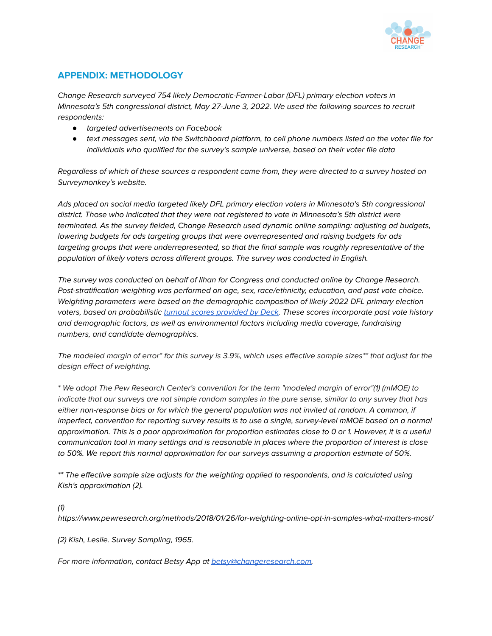

# **APPENDIX: METHODOLOGY**

Change Research surveyed 754 likely Democratic-Farmer-Labor (DFL) primary election voters in Minnesota's 5th congressional district, May 27-June 3, 2022. We used the following sources to recruit respondents:

- *●* targeted advertisements on Facebook
- *●* text messages sent, via the Switchboard platform, to cell phone numbers listed on the voter file for individuals who qualified for the survey's sample universe, based on their voter file data

Regardless of which of these sources a respondent came from, they were directed to a survey hosted on Surveymonkey's website.

Ads placed on social media targeted likely DFL primary election voters in Minnesota's 5th congressional district. Those who indicated that they were not registered to vote in Minnesota's 5th district were terminated. As the survey fielded, Change Research used dynamic online sampling: adjusting ad budgets, lowering budgets for ads targeting groups that were overrepresented and raising budgets for ads targeting groups that were underrepresented, so that the final sample was roughly representative of the population of likely voters across different groups. The survey was conducted in English.

The survey was conducted on behalf of Ilhan for Congress and conducted online by Change Research. Post-stratification weighting was performed on age, sex, race/ethnicity, education, and past vote choice. Weighting parameters were based on the demographic composition of likely 2022 DFL primary election voters, based on probabilistic turnout scores [provided](https://drive.google.com/file/d/1nAJ0YN0Pdz3UVUSDvt0Fd1Cd-qngcq4E/view) by Deck. These scores incorporate past vote history and demographic factors, as well as environmental factors including media coverage, fundraising numbers, and candidate demographics.

The modeled margin of error\* for this survey is 3.9%, which uses effective sample sizes\*\* that adjust for the design effect of weighting.

\* We adopt The Pew Research Center's convention for the term "modeled margin of error"(1) (mMOE) to indicate that our surveys are not simple random samples in the pure sense, similar to any survey that has either non-response bias or for which the general population was not invited at random. A common, if imperfect, convention for reporting survey results is to use a single, survey-level mMOE based on a normal approximation. This is a poor approximation for proportion estimates close to 0 or 1. However, it is a useful communication tool in many settings and is reasonable in places where the proportion of interest is close to 50%. We report this normal approximation for our surveys assuming a proportion estimate of 50%.

\*\* The effective sample size adjusts for the weighting applied to respondents, and is calculated using Kish's approximation (2).

## (1)

<https://www.pewresearch.org/methods/2018/01/26/for-weighting-online-opt-in-samples-what-matters-most/>

(2) Kish, Leslie. Survey Sampling, 1965.

For more information, contact Betsy App at [betsy@changeresearch.com.](mailto:betsy@changeresearch.com)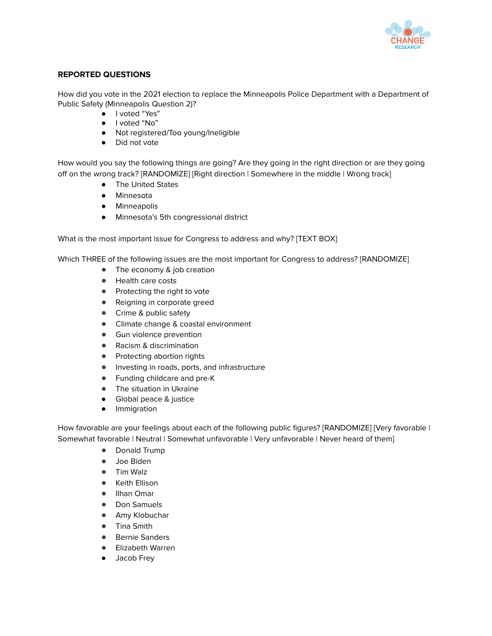

## **REPORTED QUESTIONS**

How did you vote in the 2021 election to replace the Minneapolis Police Department with a Department of Public Safety (Minneapolis Question 2)?

- I voted "Yes"
- I voted "No"
- Not registered/Too young/Ineligible
- Did not vote

How would you say the following things are going? Are they going in the right direction or are they going off on the wrong track? [RANDOMIZE] [Right direction | Somewhere in the middle | Wrong track]

- The United States
- Minnesota
- Minneapolis
- Minnesota's 5th congressional district

What is the most important issue for Congress to address and why? [TEXT BOX]

Which THREE of the following issues are the most important for Congress to address? [RANDOMIZE]

- *●* The economy & job creation
- *●* Health care costs
- *●* Protecting the right to vote
- *●* Reigning in corporate greed
- *●* Crime & public safety
- *●* Climate change & coastal environment
- *●* Gun violence prevention
- *●* Racism & discrimination
- *●* Protecting abortion rights
- *●* Investing in roads, ports, and infrastructure
- *●* Funding childcare and pre-K
- *●* The situation in Ukraine
- Global peace & justice
- Immigration

How favorable are your feelings about each of the following public figures? [RANDOMIZE] [Very favorable | Somewhat favorable | Neutral | Somewhat unfavorable | Very unfavorable | Never heard of them]

- *●* Donald Trump
- *●* Joe Biden
- *●* Tim Walz
- *●* Keith Ellison
- *●* Ilhan Omar
- *●* Don Samuels
- *●* Amy Klobuchar
- *●* Tina Smith
- *●* Bernie Sanders
- *●* Elizabeth Warren
- Jacob Frey